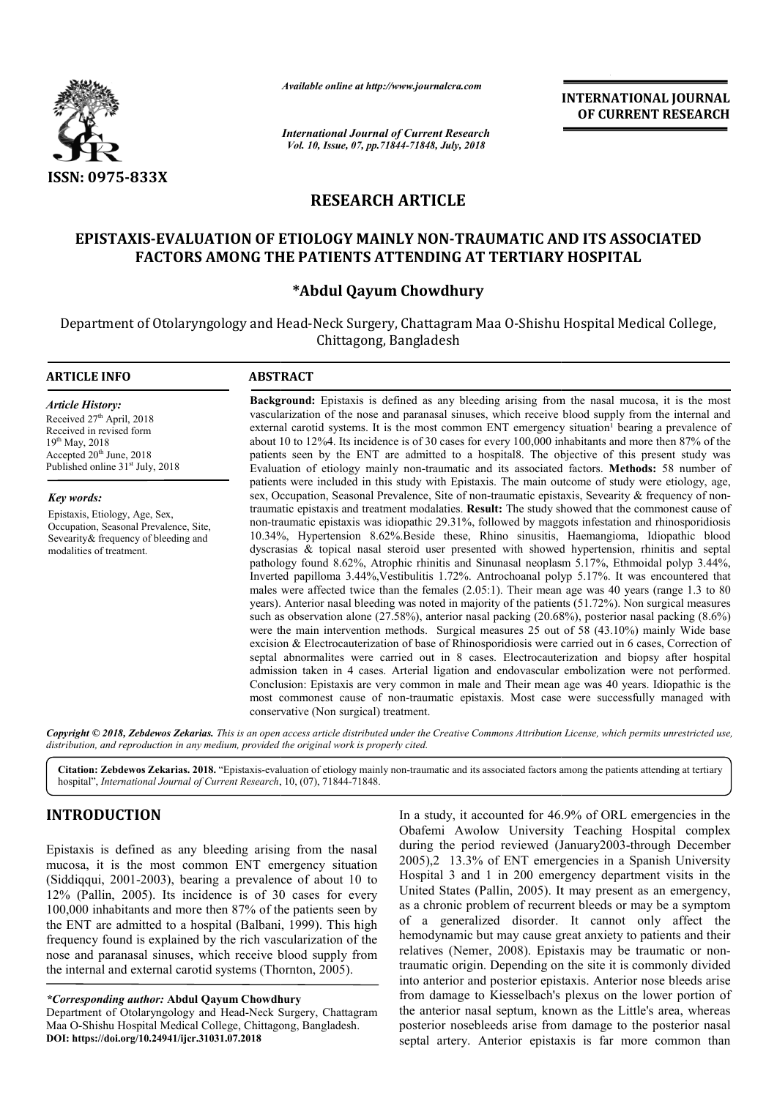

*Available online at http://www.journalcra.com*

*International Journal of Current Research Vol. 10, Issue, 07, pp.71844-71848, July, 2018*

**INTERNATIONAL JOURNAL OF CURRENT RESEARCH**

# **RESEARCH ARTICLE**

# EPISTAXIS-EVALUATION OF ETIOLOGY MAINLY NON-TRAUMATIC AND ITS ASSOCIATED IS-EVALUATION OF ETIOLOGY MAINLY NON-TRAUMATIC AND ITS ASS(<br>FACTORS AMONG THE PATIENTS ATTENDING AT TERTIARY HOSPITAL

## **\*Abdul Qayum Chowdhury**

Department of Otolaryngology and Head-Neck Surgery, Chattagram Maa O-Shishu Hospital Medical College, Chittagong, Bangladesh

## **ARTICLE INFO ABSTRACT**

*Article History:* Received 27<sup>th</sup> April, 2018 Received in revised form 19th May, 2018 Accepted  $20<sup>th</sup>$  June,  $2018$ Published online  $31<sup>st</sup>$  July, 2018

*Key words:*

Epistaxis, Etiology, Age, Sex, Occupation, Seasonal Prevalence, Site, Sevearity & frequency of bleeding and modalities of treatment.

**Background:** Epistaxis is defined as any bleeding arising from the nasal mucosa, it is the most vascularization of the nose and paranasal sinuses, which receive blood supply from the internal and **Background:** Epistaxis is defined as any bleeding arising from the nasal mucosa, it is the most vascularization of the nose and paranasal sinuses, which receive blood supply from the internal and external carotid systems. about 10 to 12%4. Its incidence is of 30 cases for every 100,000 inhabitants and more then 87% of the patients seen by the ENT are admitted to a hospital8. The objective of this present study was Evaluation of etiology mainly non-traumatic and its associated factors. patients were included in this study with Epistaxis. The main outcome of study were etiology, age, sex, Occupation, Seasonal Prevalence, Site of non-traumatic epistaxis, Sevearity & frequency of nontraumatic epistaxis and treatment modalaties. **Result:** The study showed that the commonest cause of non-traumatic epistaxis was idiopathic 29.31%, followed by maggots infestation and rhinosporidiosis non-traumatic epistaxis was idiopathic 29.31%, followed by maggots infestation and rhinosporidiosis 10.34%, Hypertension 8.62%.Beside these, Rhino sinusitis, Haemangioma, Idiopathic blood dyscrasias & topical nasal steroid dyscrasias & topical nasal steroid user presented with showed hypertension, rhinitis and septal pathology found 8.62%, Atrophic rhinitis and Sinunasal neoplasm 5.17%, Ethmoidal polyp 3.44%, Inverted papilloma 3.44%, Vestibulitis 1.72%. Antrochoanal polyp 5.17%. It was encountered that males were affected twice than the females (2.05:1). Their mean age was 40 years (range 1.3 to 80 males were affected twice than the females (2.05:1). Their mean age was 40 years (range 1.3 to 80 years). Anterior nasal bleeding was noted in majority of the patients (51.72%). Non surgical measures such as observation alone (27.58%), anterior nasal packing (20.68%), posterior nasal packing (8.6%) were the main intervention methods. Surgical measures 25 out of 58 (43.10%) mainly Wide base excision & Electrocauterization of base of Rhinosporidiosis were carried out in 6 cases, Correction of septal abnormalites were carried out in 8 cases. Electrocauterization and biopsy after hospital admission taken in 4 cases. Arterial ligation and endovascular embolization were not performed. Conclusion: Epistaxis are very common in male and Their mean age was 40 years. Conclusion: Epistaxis are very common in male and Their mean age was 40 years. Idiopathic is the most commonest cause of non-traumatic epistaxis. Most case were successfully managed with conservative (Non surgical) treatment. about 10 to 12%4. Its incidence is of 30 cases for every 100,000 inhabitants and more then 87% of the patients seen by the ENT are admitted to a hospital8. The objective of this present study was Evaluation of etiology mai such as observation alone (27.58%), anterior nasal packing (20.68%), posterior nasal packing (8.6%) were the main intervention methods. Surgical measures 25 out of 58 (43.10%) mainly Wide base excision & Electrocauterizati **INTERNATIONAL JOURNAL**<br> **OF CURRENT RESEARCH**<br> **OF CURRENT RESEARCH**<br> **OF CURRENT RESEARCH**<br> **OF CURRENT RESEARCH**<br> **TERTIARY HOSPITAL**<br> **P**<br> **M**Aa O-Shishu Hospital Medical College,<br> **And A** O-Shishu Hospital Medical Col

Copyright © 2018, Zebdewos Zekarias. This is an open access article distributed under the Creative Commons Attribution License, which permits unrestricted use, *distribution, and reproduction in any medium, provided the original work is properly cited.*

Citation: Zebdewos Zekarias. 2018. "Epistaxis-evaluation of etiology mainly non-traumatic and its associated factors among the patients attending at tertiary hospital", *International Journal of Current Research*, 10, (07), 71844-71848.

# **INTRODUCTION**

Epistaxis is defined as any bleeding arising from the nasal mucosa, it is the most common ENT emergency situation (Siddiqqui, 2001-2003), bearing a prevalence of about 10 to 12% (Pallin, 2005). Its incidence is of 30 cases for every 100,000 inhabitants and more then 87% of the patients seen by the ENT are admitted to a hospital (Balbani, 1999). This high frequency found is explained by the rich vascularization of the nose and paranasal sinuses, which receive blood supply from nose and paranasal sinuses, which receive blood supply the internal and external carotid systems (Thornton, 2005). nce is of 30 cases for every<br>hen 87% of the patients seen by<br>ital (Balbani, 1999). This high

*\*Corresponding author:* **Abdul Qayum Chowdhury**

Department of Otolaryngology and Head-Neck Surgery, Chattagram Department of Otolaryngology and Head-Neck Surgery, Chattag<br>Maa O-Shishu Hospital Medical College, Chittagong, Bangladesh. **DOI: https://doi.org/10.24941/ijcr.31031.07.2018**

In a study, it accounted for 46.9% of ORL emergencies in the Obafemi Awolow University Teaching Hospital complex during the period reviewed (January2003-through December 2005),2 13.3% of ENT emergencies in a Spanish University Hospital 3 and 1 in 200 emergency department visits in the United States (Pallin, 2005). It may present as an emergency, as a chronic problem of recurrent bleeds or may be a symptom of a generalized disorder. It cannot only affect the hemodynamic but may cause great anxiety to patients and their relatives (Nemer, 2008). Epistaxis may be traumatic or nontraumatic origin. Depending on the site it is commonly divided traumatic origin. Depending on the site it is commonly divided into anterior and posterior epistaxis. Anterior nose bleeds arise from damage to Kiesselbach's plexus on the lower portion of the anterior nasal septum, known as the Little's area, whereas posterior nosebleeds arise from damage to the posterior nasal septal artery. Anterior epistaxis is far more common than In a study, it accounted for 46.9% of ORL emergencies in the Obafemi Awolow University Teaching Hospital complex during the period reviewed (January2003-through December 2005),2 13.3% of ENT emergencies in a Spanish University Hospital 3 and 1 in 200 emergency department visits in the United States (Pallin, 2005). It may present as an emergency, as a chronic problem of recurrent bleeds or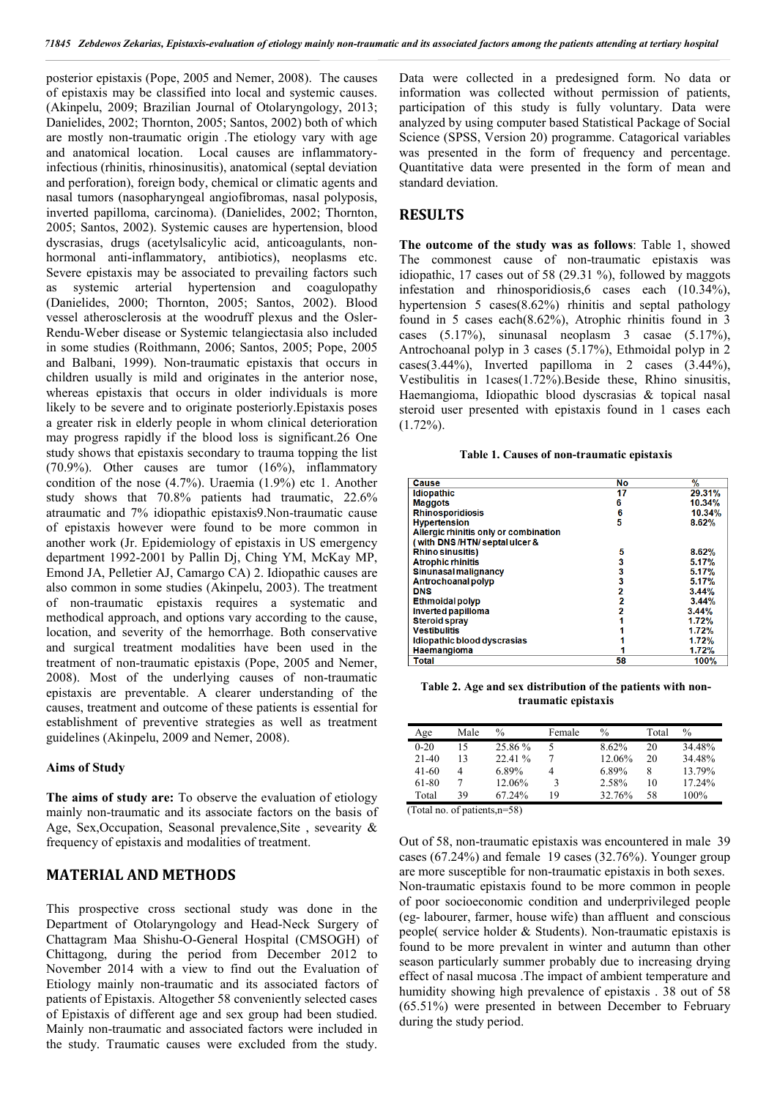posterior epistaxis (Pope, 2005 and Nemer, 2008). The causes of epistaxis may be classified into local and systemic causes. (Akinpelu, 2009; Brazilian Journal of Otolaryngology, 2013; Danielides, 2002; Thornton, 2005; Santos, 2002) both of which are mostly non-traumatic origin .The etiology vary with age and anatomical location. Local causes are inflammatoryinfectious (rhinitis, rhinosinusitis), anatomical (septal deviation and perforation), foreign body, chemical or climatic agents and nasal tumors (nasopharyngeal angiofibromas, nasal polyposis, inverted papilloma, carcinoma). (Danielides, 2002; Thornton, 2005; Santos, 2002). Systemic causes are hypertension, blood dyscrasias, drugs (acetylsalicylic acid, anticoagulants, nonhormonal anti-inflammatory, antibiotics), neoplasms etc. Severe epistaxis may be associated to prevailing factors such as systemic arterial hypertension and coagulopathy (Danielides, 2000; Thornton, 2005; Santos, 2002). Blood vessel atherosclerosis at the woodruff plexus and the Osler-Rendu-Weber disease or Systemic telangiectasia also included in some studies (Roithmann, 2006; Santos, 2005; Pope, 2005 and Balbani, 1999). Non-traumatic epistaxis that occurs in children usually is mild and originates in the anterior nose, whereas epistaxis that occurs in older individuals is more likely to be severe and to originate posteriorly.Epistaxis poses a greater risk in elderly people in whom clinical deterioration may progress rapidly if the blood loss is significant.26 One study shows that epistaxis secondary to trauma topping the list (70.9%). Other causes are tumor (16%), inflammatory condition of the nose (4.7%). Uraemia (1.9%) etc 1. Another study shows that 70.8% patients had traumatic, 22.6% atraumatic and 7% idiopathic epistaxis9.Non-traumatic cause of epistaxis however were found to be more common in another work (Jr. Epidemiology of epistaxis in US emergency department 1992-2001 by Pallin Dj, Ching YM, McKay MP, Emond JA, Pelletier AJ, Camargo CA) 2. Idiopathic causes are also common in some studies (Akinpelu, 2003). The treatment of non-traumatic epistaxis requires a systematic and methodical approach, and options vary according to the cause, location, and severity of the hemorrhage. Both conservative and surgical treatment modalities have been used in the treatment of non-traumatic epistaxis (Pope, 2005 and Nemer, 2008). Most of the underlying causes of non-traumatic epistaxis are preventable. A clearer understanding of the causes, treatment and outcome of these patients is essential for establishment of preventive strategies as well as treatment guidelines (Akinpelu, 2009 and Nemer, 2008).

#### **Aims of Study**

**The aims of study are:** To observe the evaluation of etiology mainly non-traumatic and its associate factors on the basis of Age, Sex,Occupation, Seasonal prevalence,Site , sevearity & frequency of epistaxis and modalities of treatment.

## **MATERIAL AND METHODS**

This prospective cross sectional study was done in the Department of Otolaryngology and Head-Neck Surgery of Chattagram Maa Shishu-O-General Hospital (CMSOGH) of Chittagong, during the period from December 2012 to November 2014 with a view to find out the Evaluation of Etiology mainly non-traumatic and its associated factors of patients of Epistaxis. Altogether 58 conveniently selected cases of Epistaxis of different age and sex group had been studied. Mainly non-traumatic and associated factors were included in the study. Traumatic causes were excluded from the study.

Data were collected in a predesigned form. No data or information was collected without permission of patients, participation of this study is fully voluntary. Data were analyzed by using computer based Statistical Package of Social Science (SPSS, Version 20) programme. Catagorical variables was presented in the form of frequency and percentage. Quantitative data were presented in the form of mean and standard deviation.

## **RESULTS**

**The outcome of the study was as follows**: Table 1, showed The commonest cause of non-traumatic epistaxis was idiopathic, 17 cases out of 58 (29.31 %), followed by maggots infestation and rhinosporidiosis,6 cases each (10.34%), hypertension 5 cases(8.62%) rhinitis and septal pathology found in 5 cases each(8.62%), Atrophic rhinitis found in 3 cases (5.17%), sinunasal neoplasm 3 casae (5.17%), Antrochoanal polyp in 3 cases (5.17%), Ethmoidal polyp in 2  $cases(3.44\%)$ , Inverted papilloma in 2 cases  $(3.44\%)$ , Vestibulitis in  $1$ cases $(1.72\%)$ . Beside these, Rhino sinusitis, Haemangioma, Idiopathic blood dyscrasias & topical nasal steroid user presented with epistaxis found in 1 cases each  $(1.72\%)$ .

#### **Table 1. Causes of non-traumatic epistaxis**

| Cause                                 | No | $\frac{0}{2}$ |
|---------------------------------------|----|---------------|
| <b>Idiopathic</b>                     | 17 | 29.31%        |
| <b>Maggots</b>                        | 6  | 10.34%        |
| <b>Rhinosporidiosis</b>               | 6  | 10.34%        |
|                                       | 5  | 8.62%         |
| <b>Hypertension</b>                   |    |               |
| Allergic rhinitis only or combination |    |               |
| (with DNS/HTN/septal ulcer &          |    |               |
| Rhino sinusitis)                      | 5  | 8.62%         |
| <b>Atrophic rhinitis</b>              | 3  | 5.17%         |
| Sinunasal malignancy                  | 3  | 5.17%         |
| Antrochoanal polyp                    | 3  | 5.17%         |
| <b>DNS</b>                            | 2  | 3.44%         |
| <b>Ethmoidal polyp</b>                | 2  | 3.44%         |
| Inverted papilloma                    | 2  | 3.44%         |
| <b>Steroid sprav</b>                  |    | 1.72%         |
| <b>Vestibulitis</b>                   |    | 1.72%         |
| Idiopathic blood dyscrasias           |    | 1.72%         |
| <b>Haemangioma</b>                    |    | 1.72%         |
| Total                                 | 58 | 100%          |

**Table 2. Age and sex distribution of the patients with nontraumatic epistaxis**

| Age       | Male | $\%$    | Female | $\%$   | Total | $\frac{0}{0}$ |
|-----------|------|---------|--------|--------|-------|---------------|
| $0 - 20$  |      | 25.86 % |        | 8.62%  | 20    | 34.48%        |
| $21-40$   | 13   | 22.41%  |        | 12.06% | 20    | 34.48%        |
| $41 - 60$ | 4    | 6.89%   | 4      | 6.89%  |       | 13.79%        |
| 61-80     |      | 12.06%  |        | 2.58%  | 10    | 17.24%        |
| Total     | 39   | 67.24%  | 19     | 32.76% | 58    | 100%          |

(Total no. of patients,n=58)

Out of 58, non-traumatic epistaxis was encountered in male 39 cases (67.24%) and female 19 cases (32.76%). Younger group are more susceptible for non-traumatic epistaxis in both sexes. Non-traumatic epistaxis found to be more common in people of poor socioeconomic condition and underprivileged people (eg- labourer, farmer, house wife) than affluent and conscious people( service holder & Students). Non-traumatic epistaxis is found to be more prevalent in winter and autumn than other season particularly summer probably due to increasing drying effect of nasal mucosa .The impact of ambient temperature and humidity showing high prevalence of epistaxis . 38 out of 58 (65.51%) were presented in between December to February during the study period.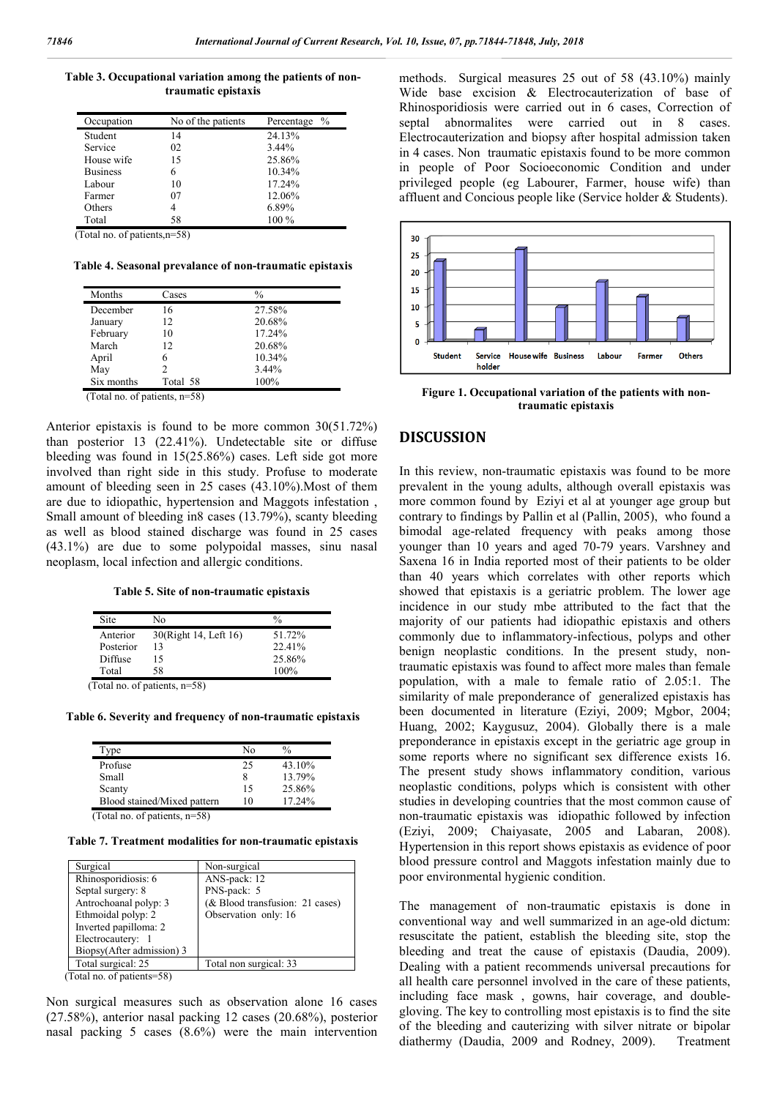**Table 3. Occupational variation among the patients of nontraumatic epistaxis**

| Occupation      | No of the patients | $\%$<br>Percentage |
|-----------------|--------------------|--------------------|
| Student         | 14                 | 24.13%             |
| Service         | 02                 | 3.44%              |
| House wife      | 15                 | 25.86%             |
| <b>Business</b> | 6                  | 10.34%             |
| Labour          | 10                 | 17.24%             |
| Farmer          | 07                 | 12.06%             |
| Others          | 4                  | 6.89%              |
| Total           | 58                 | $100\%$            |

(Total no. of patients,n=58)

**Table 4. Seasonal prevalance of non-traumatic epistaxis**

| Months     | Cases    | $\frac{0}{0}$ |  |
|------------|----------|---------------|--|
| December   | 16       | 27.58%        |  |
| January    | 12       | 20.68%        |  |
| February   | 10       | 17.24%        |  |
| March      | 12.      | 20.68%        |  |
| April      | 6        | 10.34%        |  |
| May        | 2        | 3.44%         |  |
| Six months | Total 58 | 100%          |  |

(Total no. of patients, n=58)

Anterior epistaxis is found to be more common 30(51.72%) than posterior 13 (22.41%). Undetectable site or diffuse bleeding was found in 15(25.86%) cases. Left side got more involved than right side in this study. Profuse to moderate amount of bleeding seen in 25 cases (43.10%).Most of them are due to idiopathic, hypertension and Maggots infestation , Small amount of bleeding in8 cases (13.79%), scanty bleeding as well as blood stained discharge was found in 25 cases (43.1%) are due to some polypoidal masses, sinu nasal neoplasm, local infection and allergic conditions.

**Table 5. Site of non-traumatic epistaxis**

| Site      | Nο                               | $\frac{0}{0}$ |
|-----------|----------------------------------|---------------|
| Anterior  | 30(Right 14, Left 16)            | 51.72%        |
| Posterior | 13                               | 22.41%        |
| Diffuse   | 15                               | 25.86%        |
| Total     | 58                               | 100%          |
|           | $(Total no of notation to n=58)$ |               |

(Total no. of patients, n=58)

**Table 6. Severity and frequency of non-traumatic epistaxis**

| Type                        | N٥ | $\%$      |
|-----------------------------|----|-----------|
| Profuse                     | 25 | 43.10%    |
| Small                       | 8  | 13.79%    |
| Scanty                      | 15 | 25.86%    |
| Blood stained/Mixed pattern | 10 | $17.24\%$ |

(Total no. of patients, n=58)

**Table 7. Treatment modalities for non-traumatic epistaxis**

| Surgical                  | Non-surgical                    |
|---------------------------|---------------------------------|
| Rhinosporidiosis: 6       | ANS-pack: 12                    |
| Septal surgery: 8         | PNS-pack: 5                     |
| Antrochoanal polyp: 3     | (& Blood transfusion: 21 cases) |
| Ethmoidal polyp: 2        | Observation only: 16            |
| Inverted papilloma: 2     |                                 |
| Electrocautery: 1         |                                 |
| Biopsy(After admission) 3 |                                 |
| Total surgical: 25        | Total non surgical: 33          |
| $T = 1$ $T = 1$           |                                 |

(Total no. of patients=58)

Non surgical measures such as observation alone 16 cases (27.58%), anterior nasal packing 12 cases (20.68%), posterior nasal packing 5 cases (8.6%) were the main intervention methods. Surgical measures 25 out of 58 (43.10%) mainly Wide base excision & Electrocauterization of base of Rhinosporidiosis were carried out in 6 cases, Correction of septal abnormalites were carried out in 8 cases. Electrocauterization and biopsy after hospital admission taken in 4 cases. Non traumatic epistaxis found to be more common in people of Poor Socioeconomic Condition and under privileged people (eg Labourer, Farmer, house wife) than affluent and Concious people like (Service holder & Students).



**Figure 1. Occupational variation of the patients with nontraumatic epistaxis**

## **DISCUSSION**

In this review, non-traumatic epistaxis was found to be more prevalent in the young adults, although overall epistaxis was more common found by Eziyi et al at younger age group but contrary to findings by Pallin et al (Pallin, 2005), who found a bimodal age-related frequency with peaks among those younger than 10 years and aged 70-79 years. Varshney and Saxena 16 in India reported most of their patients to be older than 40 years which correlates with other reports which showed that epistaxis is a geriatric problem. The lower age incidence in our study mbe attributed to the fact that the majority of our patients had idiopathic epistaxis and others commonly due to inflammatory-infectious, polyps and other benign neoplastic conditions. In the present study, nontraumatic epistaxis was found to affect more males than female population, with a male to female ratio of 2.05:1. The similarity of male preponderance of generalized epistaxis has been documented in literature (Eziyi, 2009; Mgbor, 2004; Huang, 2002; Kaygusuz, 2004). Globally there is a male preponderance in epistaxis except in the geriatric age group in some reports where no significant sex difference exists 16. The present study shows inflammatory condition, various neoplastic conditions, polyps which is consistent with other studies in developing countries that the most common cause of non-traumatic epistaxis was idiopathic followed by infection (Eziyi, 2009; Chaiyasate, 2005 and Labaran, 2008). Hypertension in this report shows epistaxis as evidence of poor blood pressure control and Maggots infestation mainly due to poor environmental hygienic condition.

The management of non-traumatic epistaxis is done in conventional way and well summarized in an age-old dictum: resuscitate the patient, establish the bleeding site, stop the bleeding and treat the cause of epistaxis (Daudia, 2009). Dealing with a patient recommends universal precautions for all health care personnel involved in the care of these patients, including face mask , gowns, hair coverage, and doublegloving. The key to controlling most epistaxis is to find the site of the bleeding and cauterizing with silver nitrate or bipolar diathermy (Daudia, 2009 and Rodney, 2009). Treatment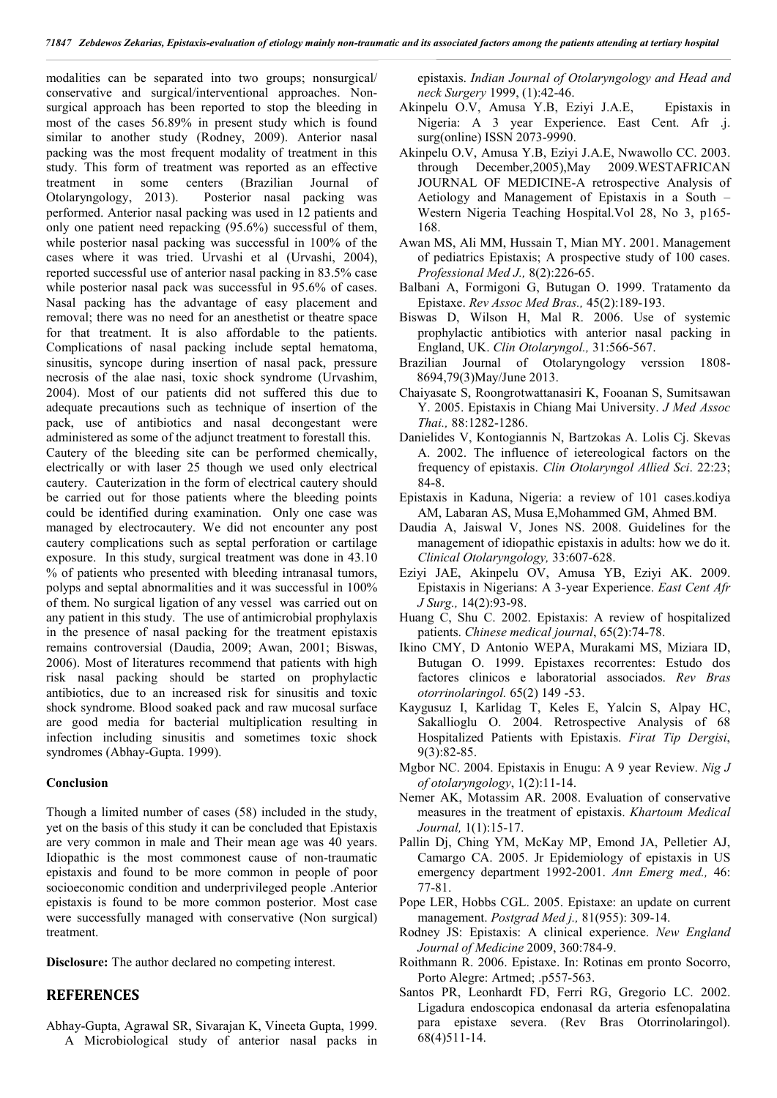modalities can be separated into two groups; nonsurgical/ conservative and surgical/interventional approaches. Nonsurgical approach has been reported to stop the bleeding in most of the cases 56.89% in present study which is found similar to another study (Rodney, 2009). Anterior nasal packing was the most frequent modality of treatment in this study. This form of treatment was reported as an effective treatment in some centers (Brazilian Journal of Otolaryngology, 2013). Posterior nasal packing was performed. Anterior nasal packing was used in 12 patients and only one patient need repacking (95.6%) successful of them, while posterior nasal packing was successful in 100% of the cases where it was tried. Urvashi et al (Urvashi, 2004), reported successful use of anterior nasal packing in 83.5% case while posterior nasal pack was successful in 95.6% of cases. Nasal packing has the advantage of easy placement and removal; there was no need for an anesthetist or theatre space for that treatment. It is also affordable to the patients. Complications of nasal packing include septal hematoma, sinusitis, syncope during insertion of nasal pack, pressure necrosis of the alae nasi, toxic shock syndrome (Urvashim, 2004). Most of our patients did not suffered this due to adequate precautions such as technique of insertion of the pack, use of antibiotics and nasal decongestant were administered as some of the adjunct treatment to forestall this. Cautery of the bleeding site can be performed chemically, electrically or with laser 25 though we used only electrical cautery. Cauterization in the form of electrical cautery should be carried out for those patients where the bleeding points could be identified during examination. Only one case was managed by electrocautery. We did not encounter any post cautery complications such as septal perforation or cartilage exposure. In this study, surgical treatment was done in 43.10 % of patients who presented with bleeding intranasal tumors, polyps and septal abnormalities and it was successful in 100% of them. No surgical ligation of any vessel was carried out on any patient in this study. The use of antimicrobial prophylaxis in the presence of nasal packing for the treatment epistaxis remains controversial (Daudia, 2009; Awan, 2001; Biswas, 2006). Most of literatures recommend that patients with high risk nasal packing should be started on prophylactic antibiotics, due to an increased risk for sinusitis and toxic shock syndrome. Blood soaked pack and raw mucosal surface are good media for bacterial multiplication resulting in infection including sinusitis and sometimes toxic shock syndromes (Abhay-Gupta. 1999).

## **Conclusion**

Though a limited number of cases (58) included in the study, yet on the basis of this study it can be concluded that Epistaxis are very common in male and Their mean age was 40 years. Idiopathic is the most commonest cause of non-traumatic epistaxis and found to be more common in people of poor socioeconomic condition and underprivileged people .Anterior epistaxis is found to be more common posterior. Most case were successfully managed with conservative (Non surgical) treatment.

**Disclosure:** The author declared no competing interest.

## **REFERENCES**

Abhay-Gupta, Agrawal SR, Sivarajan K, Vineeta Gupta, 1999. A Microbiological study of anterior nasal packs in epistaxis. *Indian Journal of Otolaryngology and Head and neck Surgery* 1999, (1):42-46.

- Akinpelu O.V, Amusa Y.B, Eziyi J.A.E, Epistaxis in Nigeria: A 3 year Experience. East Cent. Afr .j. surg(online) ISSN 2073-9990.
- Akinpelu O.V, Amusa Y.B, Eziyi J.A.E, Nwawollo CC. 2003. through December,2005),May 2009.WESTAFRICAN JOURNAL OF MEDICINE-A retrospective Analysis of Aetiology and Management of Epistaxis in a South – Western Nigeria Teaching Hospital.Vol 28, No 3, p165- 168.
- Awan MS, Ali MM, Hussain T, Mian MY. 2001. Management of pediatrics Epistaxis; A prospective study of 100 cases. *Professional Med J.,* 8(2):226-65.
- Balbani A, Formigoni G, Butugan O. 1999. Tratamento da Epistaxe. *Rev Assoc Med Bras.,* 45(2):189-193.
- Biswas D, Wilson H, Mal R. 2006. Use of systemic prophylactic antibiotics with anterior nasal packing in England, UK. *Clin Otolaryngol.,* 31:566-567.
- Brazilian Journal of Otolaryngology verssion 1808- 8694,79(3)May/June 2013.
- Chaiyasate S, Roongrotwattanasiri K, Fooanan S, Sumitsawan Y. 2005. Epistaxis in Chiang Mai University. *J Med Assoc Thai.,* 88:1282-1286.
- Danielides V, Kontogiannis N, Bartzokas A. Lolis Cj. Skevas A. 2002. The influence of ietereological factors on the frequency of epistaxis. *Clin Otolaryngol Allied Sci*. 22:23; 84-8.
- Epistaxis in Kaduna, Nigeria: a review of 101 cases.kodiya AM, Labaran AS, Musa E,Mohammed GM, Ahmed BM.
- Daudia A, Jaiswal V, Jones NS. 2008. Guidelines for the management of idiopathic epistaxis in adults: how we do it. *Clinical Otolaryngology,* 33:607-628.
- Eziyi JAE, Akinpelu OV, Amusa YB, Eziyi AK. 2009. Epistaxis in Nigerians: A 3-year Experience. *East Cent Afr J Surg.,* 14(2):93-98.
- Huang C, Shu C. 2002. Epistaxis: A review of hospitalized patients. *Chinese medical journal*, 65(2):74-78.
- Ikino CMY, D Antonio WEPA, Murakami MS, Miziara ID, Butugan O. 1999. Epistaxes recorrentes: Estudo dos factores clinicos e laboratorial associados. *Rev Bras otorrinolaringol.* 65(2) 149 -53.
- Kaygusuz I, Karlidag T, Keles E, Yalcin S, Alpay HC, Sakallioglu O. 2004. Retrospective Analysis of 68 Hospitalized Patients with Epistaxis. *Firat Tip Dergisi*, 9(3):82-85.
- Mgbor NC. 2004. Epistaxis in Enugu: A 9 year Review. *Nig J of otolaryngology*, 1(2):11-14.
- Nemer AK, Motassim AR. 2008. Evaluation of conservative measures in the treatment of epistaxis. *Khartoum Medical Journal,* 1(1):15-17.
- Pallin Dj, Ching YM, McKay MP, Emond JA, Pelletier AJ, Camargo CA. 2005. Jr Epidemiology of epistaxis in US emergency department 1992-2001. *Ann Emerg med.,* 46: 77-81.
- Pope LER, Hobbs CGL. 2005. Epistaxe: an update on current management. *Postgrad Med j.,* 81(955): 309-14.
- Rodney JS: Epistaxis: A clinical experience. *New England Journal of Medicine* 2009, 360:784-9.
- Roithmann R. 2006. Epistaxe. In: Rotinas em pronto Socorro, Porto Alegre: Artmed; .p557-563.
- Santos PR, Leonhardt FD, Ferri RG, Gregorio LC. 2002. Ligadura endoscopica endonasal da arteria esfenopalatina para epistaxe severa. (Rev Bras Otorrinolaringol). 68(4)511-14.